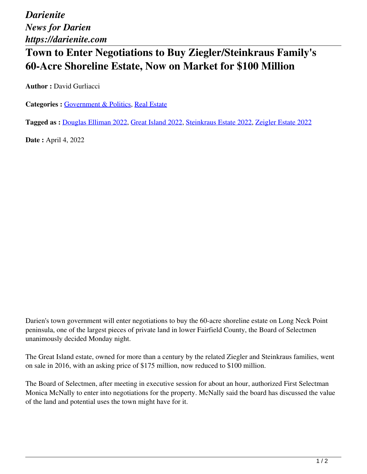*Darienite News for Darien https://darienite.com*

## **Town to Enter Negotiations to Buy Ziegler/Steinkraus Family's 60-Acre Shoreline Estate, Now on Market for \$100 Million**

**Author :** David Gurliacci

Categories : [Government & Politics](https://darienite.com/category/news/government-politics), Real Estate

**Tagged as :** Douglas Elliman 2022, Great Island 2022, Steinkraus Estate 2022, Zeigler Estate 2022

**Date :** April 4, 2022

Darien's town government will enter negotiations to buy the 60-acre shoreline estate on Long Neck Point peninsula, one of the largest pieces of private land in lower Fairfield County, the Board of Selectmen unanimously decided Monday night.

The Great Island estate, owned for more than a century by the related Ziegler and Steinkraus families, went on sale in 2016, with an asking price of \$175 million, now reduced to \$100 million.

The Board of Selectmen, after meeting in executive session for about an hour, authorized First Selectman Monica McNally to enter into negotiations for the property. McNally said the board has discussed the value of the land and potential uses the town might have for it.